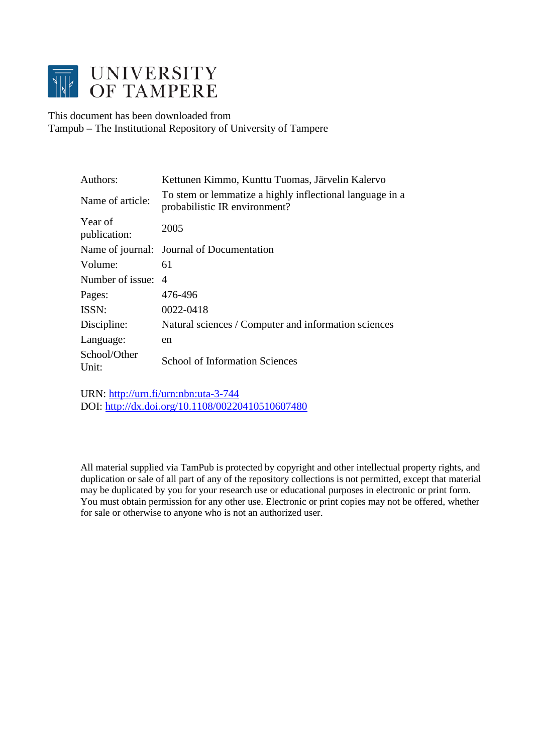

This document has been downloaded from Tampub – The Institutional Repository of University of Tampere

| Authors:                | Kettunen Kimmo, Kunttu Tuomas, Järvelin Kalervo                                           |
|-------------------------|-------------------------------------------------------------------------------------------|
| Name of article:        | To stem or lemmatize a highly inflectional language in a<br>probabilistic IR environment? |
| Year of<br>publication: | 2005                                                                                      |
|                         | Name of journal: Journal of Documentation                                                 |
| Volume:                 | 61                                                                                        |
| Number of issue:        | $\overline{A}$                                                                            |
| Pages:                  | 476-496                                                                                   |
| ISSN:                   | 0022-0418                                                                                 |
| Discipline:             | Natural sciences / Computer and information sciences                                      |
| Language:               | en                                                                                        |
| School/Other<br>Unit:   | <b>School of Information Sciences</b>                                                     |

URN:<http://urn.fi/urn:nbn:uta-3-744> DOI:<http://dx.doi.org/10.1108/00220410510607480>

All material supplied via TamPub is protected by copyright and other intellectual property rights, and duplication or sale of all part of any of the repository collections is not permitted, except that material may be duplicated by you for your research use or educational purposes in electronic or print form. You must obtain permission for any other use. Electronic or print copies may not be offered, whether for sale or otherwise to anyone who is not an authorized user.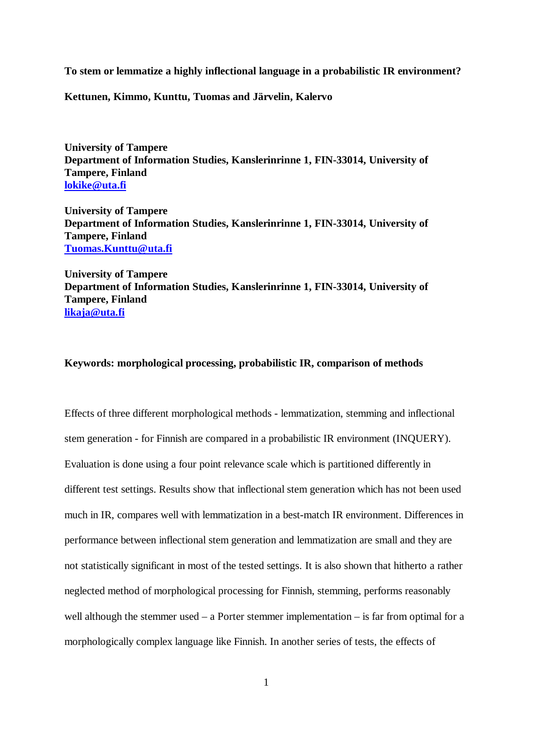**To stem or lemmatize a highly inflectional language in a probabilistic IR environment?**

**Kettunen, Kimmo, Kunttu, Tuomas and Järvelin, Kalervo**

**University of Tampere Department of Information Studies, Kanslerinrinne 1, FIN-33014, University of Tampere, Finland [lokike@uta.fi](mailto:lokike@uta.fi)**

**University of Tampere Department of Information Studies, Kanslerinrinne 1, FIN-33014, University of Tampere, Finland [Tuomas.Kunttu@uta.fi](mailto:Tuomas.Kunttu@uta.fi)**

**University of Tampere Department of Information Studies, Kanslerinrinne 1, FIN-33014, University of Tampere, Finland [likaja@uta.fi](mailto:likaja@uta.fi)**

### **Keywords: morphological processing, probabilistic IR, comparison of methods**

Effects of three different morphological methods - lemmatization, stemming and inflectional stem generation - for Finnish are compared in a probabilistic IR environment (INQUERY). Evaluation is done using a four point relevance scale which is partitioned differently in different test settings. Results show that inflectional stem generation which has not been used much in IR, compares well with lemmatization in a best-match IR environment. Differences in performance between inflectional stem generation and lemmatization are small and they are not statistically significant in most of the tested settings*.* It is also shown that hitherto a rather neglected method of morphological processing for Finnish, stemming, performs reasonably well although the stemmer used – a Porter stemmer implementation – is far from optimal for a morphologically complex language like Finnish. In another series of tests, the effects of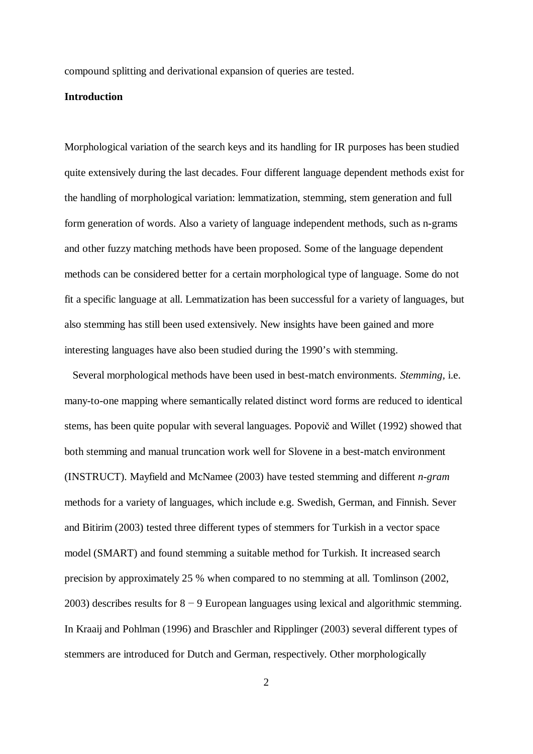compound splitting and derivational expansion of queries are tested.

### **Introduction**

Morphological variation of the search keys and its handling for IR purposes has been studied quite extensively during the last decades. Four different language dependent methods exist for the handling of morphological variation: lemmatization, stemming, stem generation and full form generation of words. Also a variety of language independent methods, such as n-grams and other fuzzy matching methods have been proposed. Some of the language dependent methods can be considered better for a certain morphological type of language. Some do not fit a specific language at all. Lemmatization has been successful for a variety of languages, but also stemming has still been used extensively. New insights have been gained and more interesting languages have also been studied during the 1990's with stemming.

Several morphological methods have been used in best-match environments. *Stemming,* i.e. many-to-one mapping where semantically related distinct word forms are reduced to identical stems, has been quite popular with several languages. Popovič and Willet (1992) showed that both stemming and manual truncation work well for Slovene in a best-match environment (INSTRUCT). Mayfield and McNamee (2003) have tested stemming and different *n-gram* methods for a variety of languages, which include e.g. Swedish, German, and Finnish. Sever and Bitirim (2003) tested three different types of stemmers for Turkish in a vector space model (SMART) and found stemming a suitable method for Turkish. It increased search precision by approximately 25 % when compared to no stemming at all. Tomlinson (2002, 2003) describes results for  $8 - 9$  European languages using lexical and algorithmic stemming. In Kraaij and Pohlman (1996) and Braschler and Ripplinger (2003) several different types of stemmers are introduced for Dutch and German, respectively. Other morphologically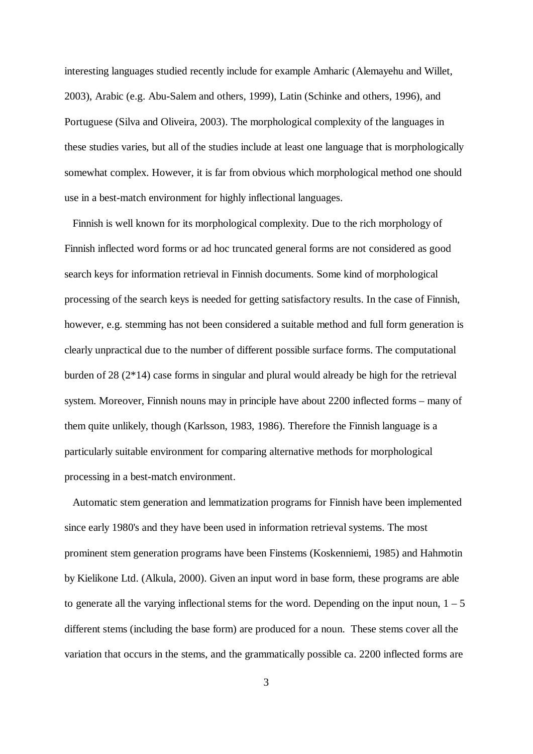interesting languages studied recently include for example Amharic (Alemayehu and Willet, 2003), Arabic (e.g. Abu-Salem and others, 1999), Latin (Schinke and others, 1996), and Portuguese (Silva and Oliveira, 2003). The morphological complexity of the languages in these studies varies, but all of the studies include at least one language that is morphologically somewhat complex. However, it is far from obvious which morphological method one should use in a best-match environment for highly inflectional languages.

Finnish is well known for its morphological complexity. Due to the rich morphology of Finnish inflected word forms or ad hoc truncated general forms are not considered as good search keys for information retrieval in Finnish documents. Some kind of morphological processing of the search keys is needed for getting satisfactory results. In the case of Finnish, however, e.g. stemming has not been considered a suitable method and full form generation is clearly unpractical due to the number of different possible surface forms. The computational burden of 28 (2\*14) case forms in singular and plural would already be high for the retrieval system. Moreover, Finnish nouns may in principle have about 2200 inflected forms – many of them quite unlikely, though (Karlsson, 1983, 1986). Therefore the Finnish language is a particularly suitable environment for comparing alternative methods for morphological processing in a best-match environment.

Automatic stem generation and lemmatization programs for Finnish have been implemented since early 1980's and they have been used in information retrieval systems. The most prominent stem generation programs have been Finstems (Koskenniemi, 1985) and Hahmotin by Kielikone Ltd. (Alkula, 2000). Given an input word in base form, these programs are able to generate all the varying inflectional stems for the word. Depending on the input noun,  $1 - 5$ different stems (including the base form) are produced for a noun. These stems cover all the variation that occurs in the stems, and the grammatically possible ca. 2200 inflected forms are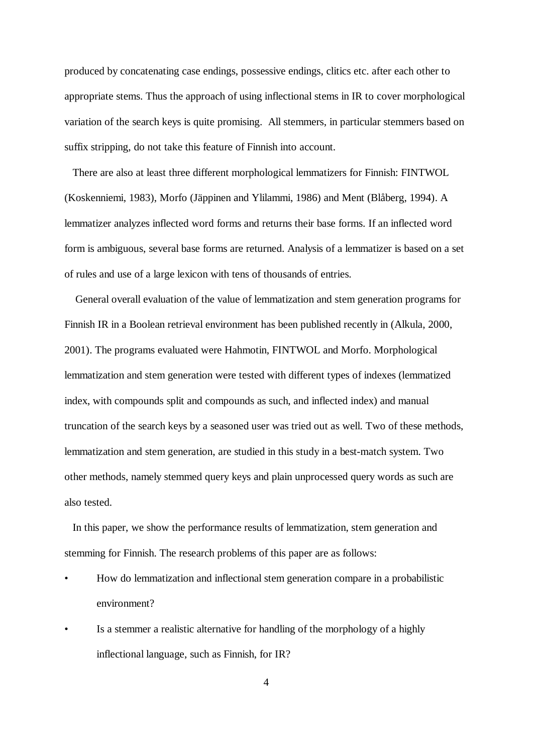produced by concatenating case endings, possessive endings, clitics etc. after each other to appropriate stems. Thus the approach of using inflectional stems in IR to cover morphological variation of the search keys is quite promising. All stemmers, in particular stemmers based on suffix stripping, do not take this feature of Finnish into account.

There are also at least three different morphological lemmatizers for Finnish: FINTWOL (Koskenniemi, 1983), Morfo (Jäppinen and Ylilammi, 1986) and Ment (Blåberg, 1994). A lemmatizer analyzes inflected word forms and returns their base forms. If an inflected word form is ambiguous, several base forms are returned. Analysis of a lemmatizer is based on a set of rules and use of a large lexicon with tens of thousands of entries.

 General overall evaluation of the value of lemmatization and stem generation programs for Finnish IR in a Boolean retrieval environment has been published recently in (Alkula, 2000, 2001). The programs evaluated were Hahmotin, FINTWOL and Morfo. Morphological lemmatization and stem generation were tested with different types of indexes (lemmatized index, with compounds split and compounds as such, and inflected index) and manual truncation of the search keys by a seasoned user was tried out as well. Two of these methods, lemmatization and stem generation, are studied in this study in a best-match system. Two other methods, namely stemmed query keys and plain unprocessed query words as such are also tested.

In this paper, we show the performance results of lemmatization, stem generation and stemming for Finnish. The research problems of this paper are as follows:

- How do lemmatization and inflectional stem generation compare in a probabilistic environment?
- Is a stemmer a realistic alternative for handling of the morphology of a highly inflectional language, such as Finnish, for IR?

4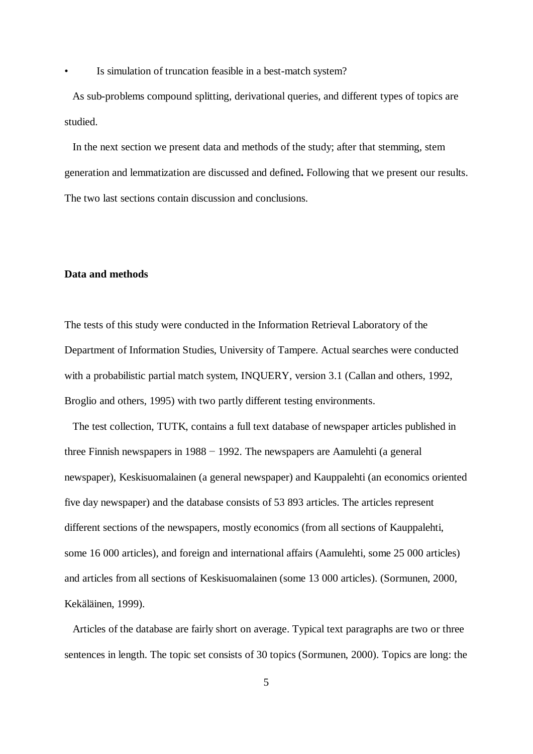Is simulation of truncation feasible in a best-match system?

 As sub-problems compound splitting, derivational queries, and different types of topics are studied.

 In the next section we present data and methods of the study; after that stemming, stem generation and lemmatization are discussed and defined**.** Following that we present our results. The two last sections contain discussion and conclusions.

#### **Data and methods**

The tests of this study were conducted in the Information Retrieval Laboratory of the Department of Information Studies, University of Tampere. Actual searches were conducted with a probabilistic partial match system, INQUERY, version 3.1 (Callan and others, 1992, Broglio and others, 1995) with two partly different testing environments.

The test collection, TUTK, contains a full text database of newspaper articles published in three Finnish newspapers in  $1988 - 1992$ . The newspapers are Aamulehti (a general newspaper), Keskisuomalainen (a general newspaper) and Kauppalehti (an economics oriented five day newspaper) and the database consists of 53 893 articles. The articles represent different sections of the newspapers, mostly economics (from all sections of Kauppalehti, some 16 000 articles), and foreign and international affairs (Aamulehti, some 25 000 articles) and articles from all sections of Keskisuomalainen (some 13 000 articles). (Sormunen, 2000, Kekäläinen, 1999).

Articles of the database are fairly short on average. Typical text paragraphs are two or three sentences in length. The topic set consists of 30 topics (Sormunen, 2000). Topics are long: the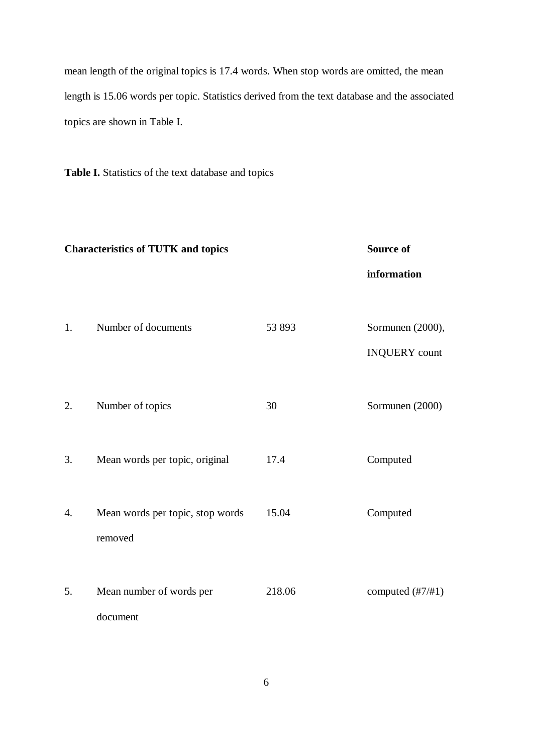mean length of the original topics is 17.4 words. When stop words are omitted, the mean length is 15.06 words per topic. Statistics derived from the text database and the associated topics are shown in Table I.

**Table I.** Statistics of the text database and topics

|    | <b>Characteristics of TUTK and topics</b>   | <b>Source of</b> |                                          |
|----|---------------------------------------------|------------------|------------------------------------------|
|    |                                             |                  | information                              |
| 1. | Number of documents                         | 53 893           | Sormunen (2000),<br><b>INQUERY</b> count |
| 2. | Number of topics                            | 30               | Sormunen (2000)                          |
| 3. | Mean words per topic, original              | 17.4             | Computed                                 |
| 4. | Mean words per topic, stop words<br>removed | 15.04            | Computed                                 |
| 5. | Mean number of words per<br>document        | 218.06           | computed $(\frac{\#7}{\#1})$             |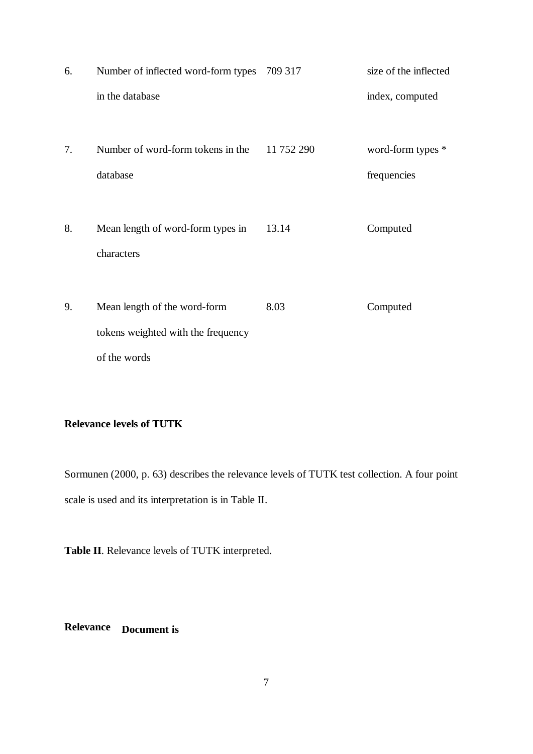| 6. | Number of inflected word-form types 709 317                        |            | size of the inflected |
|----|--------------------------------------------------------------------|------------|-----------------------|
|    | in the database                                                    |            | index, computed       |
| 7. | Number of word-form tokens in the                                  | 11 752 290 | word-form types *     |
|    | database                                                           |            | frequencies           |
| 8. | Mean length of word-form types in<br>characters                    | 13.14      | Computed              |
| 9. | Mean length of the word-form<br>tokens weighted with the frequency | 8.03       | Computed              |
|    | of the words                                                       |            |                       |

# **Relevance levels of TUTK**

Sormunen (2000, p. 63) describes the relevance levels of TUTK test collection. A four point scale is used and its interpretation is in Table II.

**Table II**. Relevance levels of TUTK interpreted.

**Relevance Document is**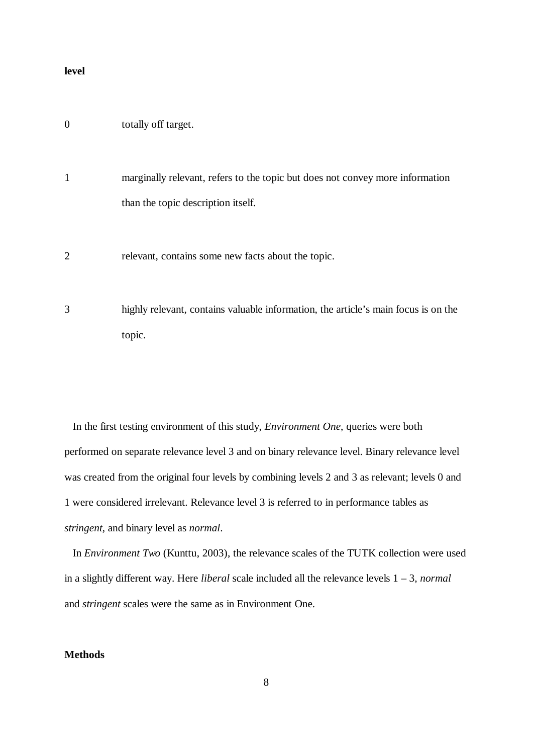#### **level**

## 0 totally off target.

- 1 marginally relevant, refers to the topic but does not convey more information than the topic description itself.
- 2 relevant, contains some new facts about the topic.
- 3 highly relevant, contains valuable information, the article's main focus is on the topic.

In the first testing environment of this study, *Environment One*, queries were both performed on separate relevance level 3 and on binary relevance level. Binary relevance level was created from the original four levels by combining levels 2 and 3 as relevant; levels 0 and 1 were considered irrelevant. Relevance level 3 is referred to in performance tables as *stringent*, and binary level as *normal*.

In *Environment Two* (Kunttu, 2003), the relevance scales of the TUTK collection were used in a slightly different way. Here *liberal* scale included all the relevance levels 1 – 3, *normal* and *stringent* scales were the same as in Environment One.

## **Methods**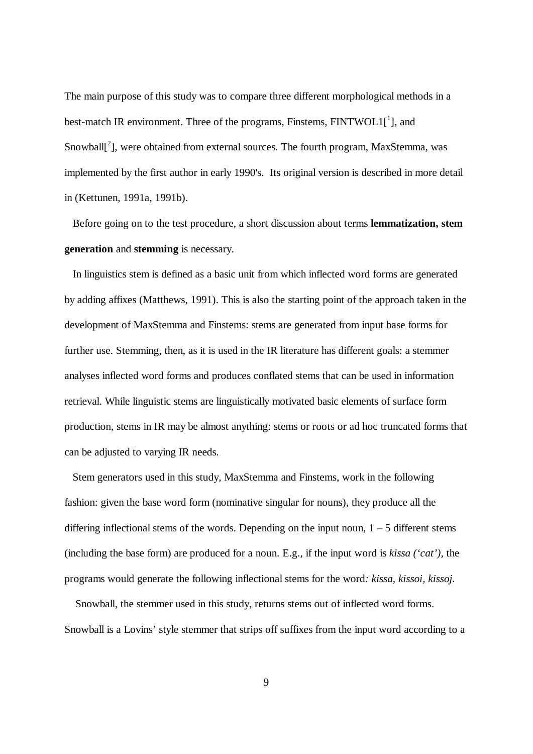The main purpose of this study was to compare three different morphological methods in a best-match IR environment. Three of the programs, Finstems,  $\text{FINTWOL1}[^1]$ , and Snowball<sup>[2</sup>], were obtained from external sources. The fourth program, MaxStemma, was implemented by the first author in early 1990's. Its original version is described in more detail in (Kettunen, 1991a, 1991b).

Before going on to the test procedure, a short discussion about terms **lemmatization, stem generation** and **stemming** is necessary.

In linguistics stem is defined as a basic unit from which inflected word forms are generated by adding affixes (Matthews, 1991). This is also the starting point of the approach taken in the development of MaxStemma and Finstems: stems are generated from input base forms for further use. Stemming, then, as it is used in the IR literature has different goals: a stemmer analyses inflected word forms and produces conflated stems that can be used in information retrieval. While linguistic stems are linguistically motivated basic elements of surface form production, stems in IR may be almost anything: stems or roots or ad hoc truncated forms that can be adjusted to varying IR needs.

Stem generators used in this study, MaxStemma and Finstems, work in the following fashion: given the base word form (nominative singular for nouns), they produce all the differing inflectional stems of the words. Depending on the input noun,  $1 - 5$  different stems (including the base form) are produced for a noun. E.g., if the input word is *kissa ('cat'),* the programs would generate the following inflectional stems for the word*: kissa, kissoi, kissoj.*

Snowball, the stemmer used in this study, returns stems out of inflected word forms. Snowball is a Lovins' style stemmer that strips off suffixes from the input word according to a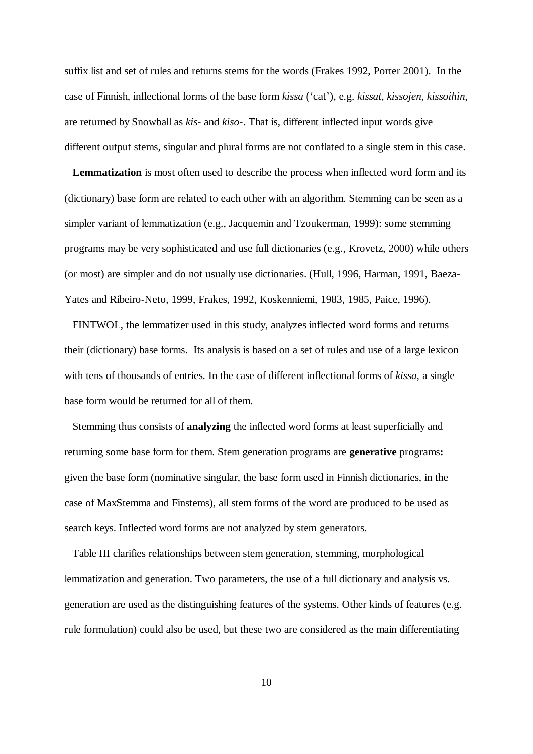suffix list and set of rules and returns stems for the words (Frakes 1992, Porter 2001). In the case of Finnish, inflectional forms of the base form *kissa* ('cat'), e.g. *kissat, kissojen, kissoihin*, are returned by Snowball as *kis*- and *kiso*-. That is, different inflected input words give different output stems, singular and plural forms are not conflated to a single stem in this case.

**Lemmatization** is most often used to describe the process when inflected word form and its (dictionary) base form are related to each other with an algorithm. Stemming can be seen as a simpler variant of lemmatization (e.g., Jacquemin and Tzoukerman, 1999): some stemming programs may be very sophisticated and use full dictionaries (e.g., Krovetz, 2000) while others (or most) are simpler and do not usually use dictionaries. (Hull, 1996, Harman, 1991, Baeza-Yates and Ribeiro-Neto, 1999, Frakes, 1992, Koskenniemi, 1983, 1985, Paice, 1996).

FINTWOL, the lemmatizer used in this study, analyzes inflected word forms and returns their (dictionary) base forms. Its analysis is based on a set of rules and use of a large lexicon with tens of thousands of entries. In the case of different inflectional forms of *kissa,* a single base form would be returned for all of them.

Stemming thus consists of **analyzing** the inflected word forms at least superficially and returning some base form for them. Stem generation programs are **generative** programs**:** given the base form (nominative singular, the base form used in Finnish dictionaries, in the case of MaxStemma and Finstems), all stem forms of the word are produced to be used as search keys. Inflected word forms are not analyzed by stem generators.

Table III clarifies relationships between stem generation, stemming, morphological lemmatization and generation. Two parameters, the use of a full dictionary and analysis vs. generation are used as the distinguishing features of the systems. Other kinds of features (e.g. rule formulation) could also be used, but these two are considered as the main differentiating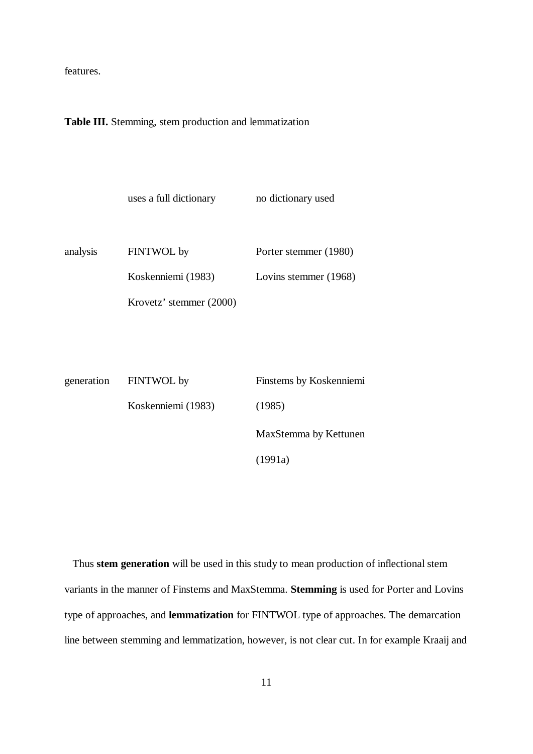features.

**Table III.** Stemming, stem production and lemmatization

|            | uses a full dictionary  | no dictionary used      |
|------------|-------------------------|-------------------------|
| analysis   | FINTWOL by              | Porter stemmer (1980)   |
|            | Koskenniemi (1983)      | Lovins stemmer (1968)   |
|            | Krovetz' stemmer (2000) |                         |
|            |                         |                         |
|            |                         |                         |
| generation | FINTWOL by              | Finstems by Koskenniemi |

| eneration | FINTWOL by         | Finstems by Koskenniemi |
|-----------|--------------------|-------------------------|
|           | Koskenniemi (1983) | (1985)                  |
|           |                    | MaxStemma by Kettunen   |
|           |                    | (1991a)                 |

Thus **stem generation** will be used in this study to mean production of inflectional stem variants in the manner of Finstems and MaxStemma. **Stemming** is used for Porter and Lovins type of approaches, and **lemmatization** for FINTWOL type of approaches. The demarcation line between stemming and lemmatization, however, is not clear cut. In for example Kraaij and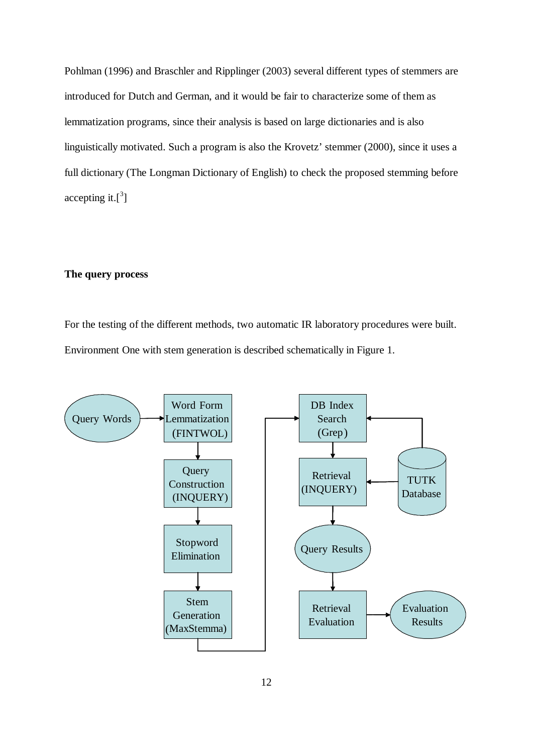Pohlman (1996) and Braschler and Ripplinger (2003) several different types of stemmers are introduced for Dutch and German, and it would be fair to characterize some of them as lemmatization programs, since their analysis is based on large dictionaries and is also linguistically motivated. Such a program is also the Krovetz' stemmer (2000), since it uses a full dictionary (The Longman Dictionary of English) to check the proposed stemming before accepting it. $[^3]$ 

#### **The query process**

For the testing of the different methods, two automatic IR laboratory procedures were built. Environment One with stem generation is described schematically in Figure 1.

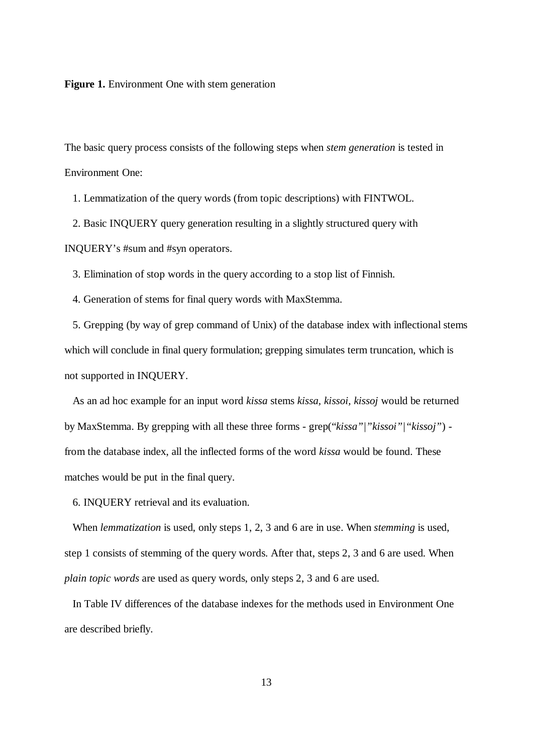**Figure 1.** Environment One with stem generation

The basic query process consists of the following steps when *stem generation* is tested in Environment One:

1. Lemmatization of the query words (from topic descriptions) with FINTWOL.

2. Basic INQUERY query generation resulting in a slightly structured query with INQUERY's #sum and #syn operators.

3. Elimination of stop words in the query according to a stop list of Finnish.

4. Generation of stems for final query words with MaxStemma.

5. Grepping (by way of grep command of Unix) of the database index with inflectional stems which will conclude in final query formulation; grepping simulates term truncation, which is not supported in INQUERY.

As an ad hoc example for an input word *kissa* stems *kissa, kissoi, kissoj* would be returned by MaxStemma. By grepping with all these three forms - grep("*kissa"|"kissoi"|"kissoj"*) from the database index, all the inflected forms of the word *kissa* would be found. These matches would be put in the final query.

6. INQUERY retrieval and its evaluation.

When *lemmatization* is used, only steps 1, 2, 3 and 6 are in use. When *stemming* is used, step 1 consists of stemming of the query words. After that, steps 2, 3 and 6 are used. When *plain topic words* are used as query words, only steps 2, 3 and 6 are used.

In Table IV differences of the database indexes for the methods used in Environment One are described briefly.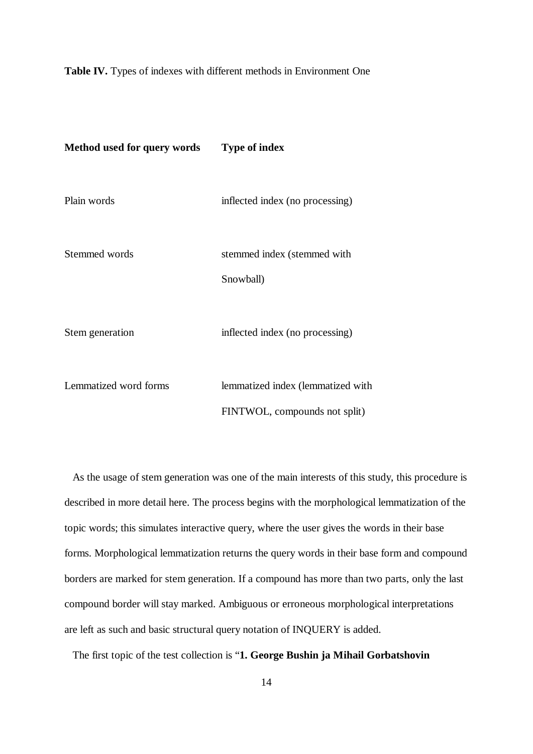#### **Table IV.** Types of indexes with different methods in Environment One

| Method used for query words | <b>Type of index</b>                                               |
|-----------------------------|--------------------------------------------------------------------|
| Plain words                 | inflected index (no processing)                                    |
| Stemmed words               | stemmed index (stemmed with<br>Snowball)                           |
| Stem generation             | inflected index (no processing)                                    |
| Lemmatized word forms       | lemmatized index (lemmatized with<br>FINTWOL, compounds not split) |

As the usage of stem generation was one of the main interests of this study, this procedure is described in more detail here. The process begins with the morphological lemmatization of the topic words; this simulates interactive query, where the user gives the words in their base forms. Morphological lemmatization returns the query words in their base form and compound borders are marked for stem generation. If a compound has more than two parts, only the last compound border will stay marked. Ambiguous or erroneous morphological interpretations are left as such and basic structural query notation of INQUERY is added.

The first topic of the test collection is "**1. George Bushin ja Mihail Gorbatshovin**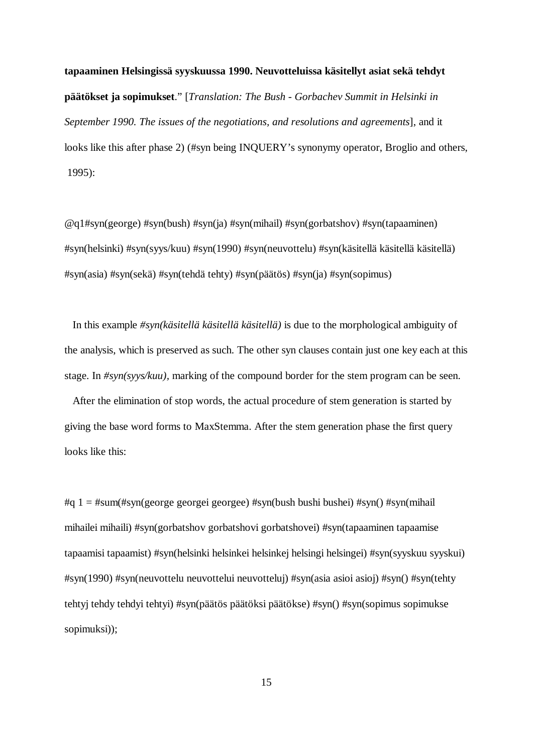**tapaaminen Helsingissä syyskuussa 1990. Neuvotteluissa käsitellyt asiat sekä tehdyt päätökset ja sopimukset**." [*Translation: The Bush - Gorbachev Summit in Helsinki in September 1990. The issues of the negotiations, and resolutions and agreements*], and it looks like this after phase 2) (#syn being INQUERY's synonymy operator, Broglio and others, 1995):

@q1#syn(george) #syn(bush) #syn(ja) #syn(mihail) #syn(gorbatshov) #syn(tapaaminen) #syn(helsinki) #syn(syys/kuu) #syn(1990) #syn(neuvottelu) #syn(käsitellä käsitellä käsitellä) #syn(asia) #syn(sekä) #syn(tehdä tehty) #syn(päätös) #syn(ja) #syn(sopimus)

In this example *#syn(käsitellä käsitellä käsitellä)* is due to the morphological ambiguity of the analysis, which is preserved as such. The other syn clauses contain just one key each at this stage. In *#syn(syys/kuu),* marking of the compound border for the stem program can be seen.

After the elimination of stop words, the actual procedure of stem generation is started by giving the base word forms to MaxStemma. After the stem generation phase the first query looks like this:

#q 1 = #sum(#syn(george georgei georgee) #syn(bush bushi bushei) #syn() #syn(mihail mihailei mihaili) #syn(gorbatshov gorbatshovi gorbatshovei) #syn(tapaaminen tapaamise tapaamisi tapaamist) #syn(helsinki helsinkei helsinkej helsingi helsingei) #syn(syyskuu syyskui) #syn(1990) #syn(neuvottelu neuvottelui neuvotteluj) #syn(asia asioi asioj) #syn() #syn(tehty tehtyj tehdy tehdyi tehtyi) #syn(päätös päätöksi päätökse) #syn() #syn(sopimus sopimukse sopimuksi));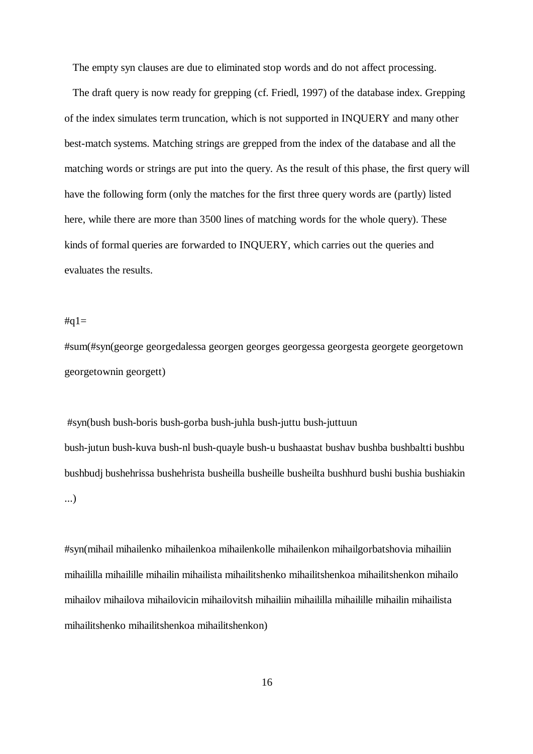The empty syn clauses are due to eliminated stop words and do not affect processing.

The draft query is now ready for grepping (cf. Friedl, 1997) of the database index. Grepping of the index simulates term truncation, which is not supported in INQUERY and many other best-match systems. Matching strings are grepped from the index of the database and all the matching words or strings are put into the query. As the result of this phase, the first query will have the following form (only the matches for the first three query words are (partly) listed here, while there are more than 3500 lines of matching words for the whole query). These kinds of formal queries are forwarded to INQUERY, which carries out the queries and evaluates the results.

 $\#a1=$ 

#sum(#syn(george georgedalessa georgen georges georgessa georgesta georgete georgetown georgetownin georgett)

 #syn(bush bush-boris bush-gorba bush-juhla bush-juttu bush-juttuun bush-jutun bush-kuva bush-nl bush-quayle bush-u bushaastat bushav bushba bushbaltti bushbu bushbudj bushehrissa bushehrista busheilla busheille busheilta bushhurd bushi bushia bushiakin ...)

#syn(mihail mihailenko mihailenkoa mihailenkolle mihailenkon mihailgorbatshovia mihailiin mihaililla mihailille mihailin mihailista mihailitshenko mihailitshenkoa mihailitshenkon mihailo mihailov mihailova mihailovicin mihailovitsh mihailiin mihaililla mihailille mihailin mihailista mihailitshenko mihailitshenkoa mihailitshenkon)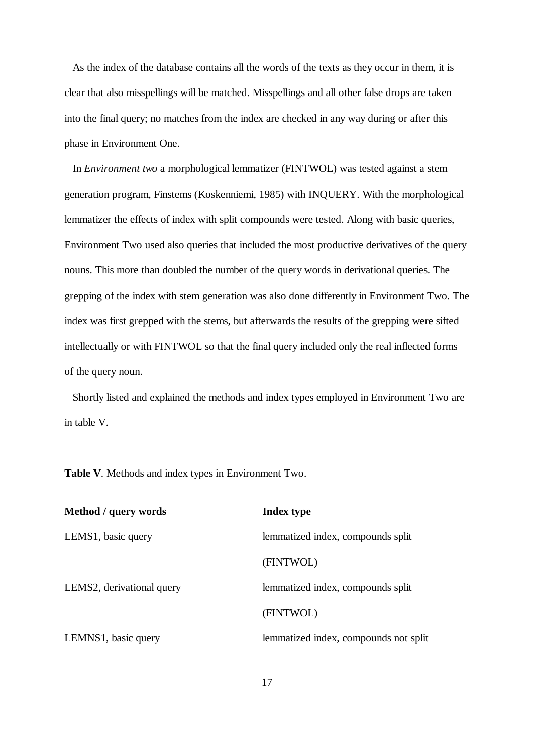As the index of the database contains all the words of the texts as they occur in them, it is clear that also misspellings will be matched. Misspellings and all other false drops are taken into the final query; no matches from the index are checked in any way during or after this phase in Environment One.

 In *Environment two* a morphological lemmatizer (FINTWOL) was tested against a stem generation program, Finstems (Koskenniemi, 1985) with INQUERY. With the morphological lemmatizer the effects of index with split compounds were tested. Along with basic queries, Environment Two used also queries that included the most productive derivatives of the query nouns. This more than doubled the number of the query words in derivational queries. The grepping of the index with stem generation was also done differently in Environment Two. The index was first grepped with the stems, but afterwards the results of the grepping were sifted intellectually or with FINTWOL so that the final query included only the real inflected forms of the query noun.

Shortly listed and explained the methods and index types employed in Environment Two are in table V.

**Table V**. Methods and index types in Environment Two.

| Method / query words            | <b>Index type</b>                     |
|---------------------------------|---------------------------------------|
| LEMS <sub>1</sub> , basic query | lemmatized index, compounds split     |
|                                 | (FINTWOL)                             |
| LEMS2, derivational query       | lemmatized index, compounds split     |
|                                 | (FINTWOL)                             |
| LEMNS1, basic query             | lemmatized index, compounds not split |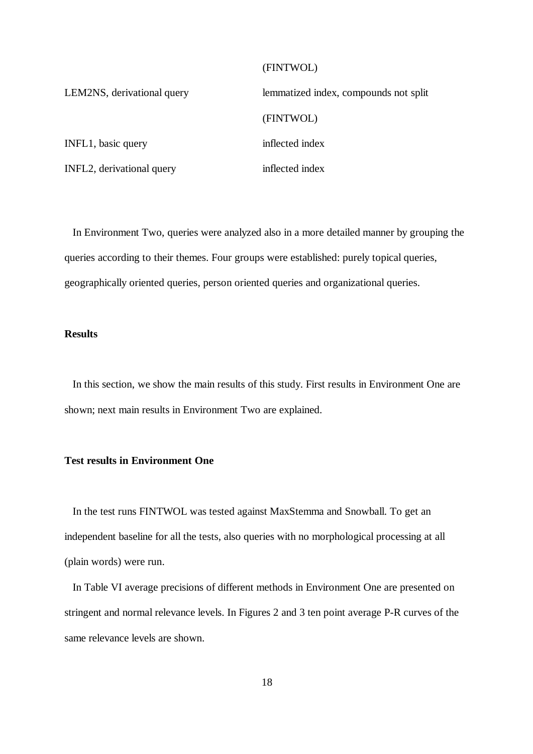## (FINTWOL)

| LEM2NS, derivational query | lemmatized index, compounds not split |
|----------------------------|---------------------------------------|
|                            | (FINTWOL)                             |
| INFL1, basic query         | inflected index                       |
| INFL2, derivational query  | inflected index                       |
|                            |                                       |

In Environment Two, queries were analyzed also in a more detailed manner by grouping the queries according to their themes. Four groups were established: purely topical queries, geographically oriented queries, person oriented queries and organizational queries.

### **Results**

In this section, we show the main results of this study. First results in Environment One are shown; next main results in Environment Two are explained.

### **Test results in Environment One**

In the test runs FINTWOL was tested against MaxStemma and Snowball. To get an independent baseline for all the tests, also queries with no morphological processing at all (plain words) were run.

In Table VI average precisions of different methods in Environment One are presented on stringent and normal relevance levels. In Figures 2 and 3 ten point average P-R curves of the same relevance levels are shown.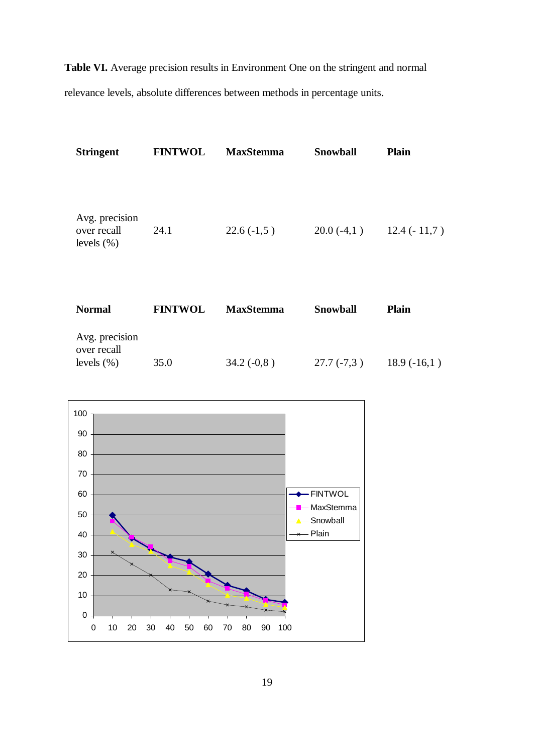**Table VI.** Average precision results in Environment One on the stringent and normal relevance levels, absolute differences between methods in percentage units.

| <b>Stringent</b>                                | <b>FINTWOL</b> | <b>MaxStemma</b> | <b>Snowball</b> | <b>Plain</b>  |
|-------------------------------------------------|----------------|------------------|-----------------|---------------|
| Avg. precision<br>over recall<br>levels $(\% )$ | 24.1           | $22.6(-1,5)$     | $20.0(-4,1)$    | $12.4(-11,7)$ |
| <b>Normal</b>                                   | <b>FINTWOL</b> | <b>MaxStemma</b> | Snowball        | <b>Plain</b>  |
| Avg. precision<br>over recall<br>levels $(\% )$ | 35.0           | $34.2(-0.8)$     | $27.7(-7,3)$    | $18.9(-16,1)$ |

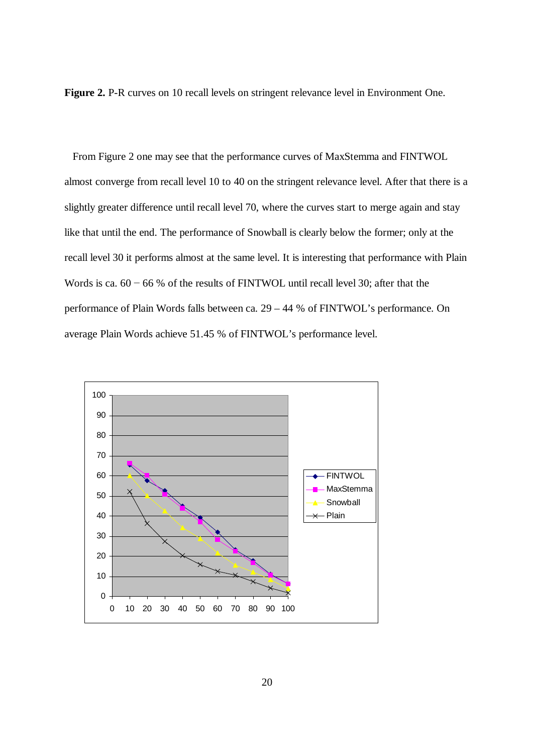**Figure 2.** P-R curves on 10 recall levels on stringent relevance level in Environment One.

From Figure 2 one may see that the performance curves of MaxStemma and FINTWOL almost converge from recall level 10 to 40 on the stringent relevance level. After that there is a slightly greater difference until recall level 70, where the curves start to merge again and stay like that until the end. The performance of Snowball is clearly below the former; only at the recall level 30 it performs almost at the same level. It is interesting that performance with Plain Words is ca.  $60 - 66$  % of the results of FINTWOL until recall level 30; after that the performance of Plain Words falls between ca. 29 – 44 % of FINTWOL's performance. On average Plain Words achieve 51.45 % of FINTWOL's performance level.

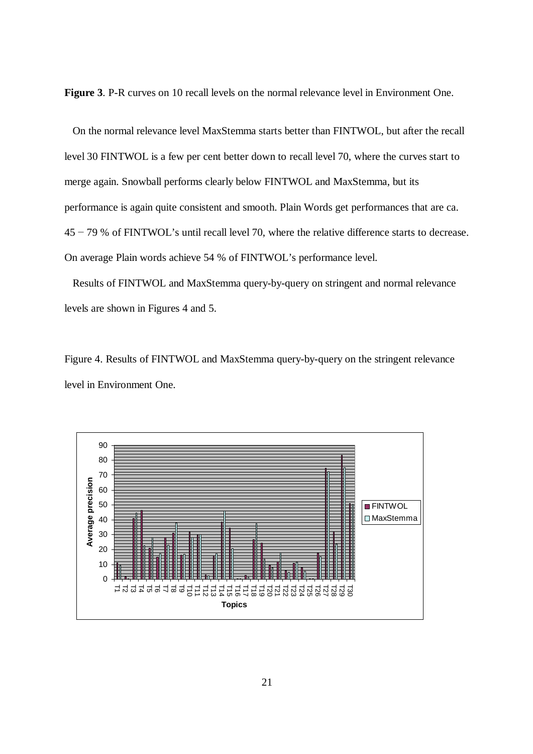**Figure 3**. P-R curves on 10 recall levels on the normal relevance level in Environment One.

On the normal relevance level MaxStemma starts better than FINTWOL, but after the recall level 30 FINTWOL is a few per cent better down to recall level 70, where the curves start to merge again. Snowball performs clearly below FINTWOL and MaxStemma, but its performance is again quite consistent and smooth. Plain Words get performances that are ca.  $45 - 79$  % of FINTWOL's until recall level 70, where the relative difference starts to decrease. On average Plain words achieve 54 % of FINTWOL's performance level.

Results of FINTWOL and MaxStemma query-by-query on stringent and normal relevance levels are shown in Figures 4 and 5.

Figure 4. Results of FINTWOL and MaxStemma query-by-query on the stringent relevance level in Environment One.

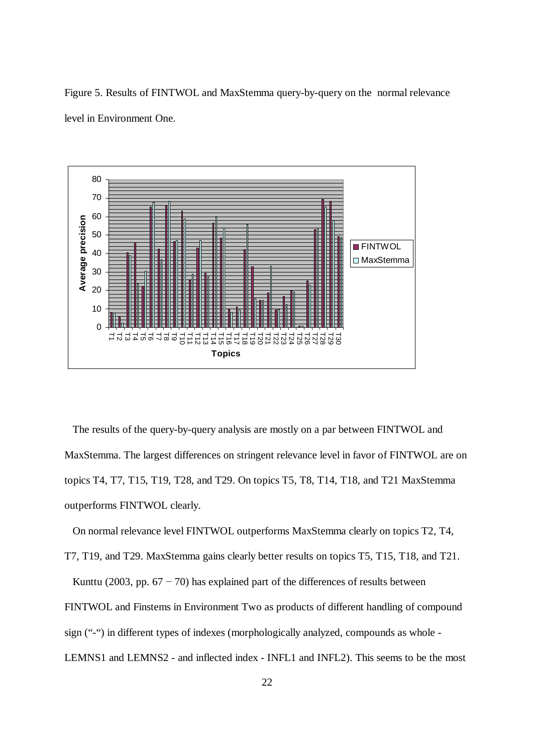Figure 5. Results of FINTWOL and MaxStemma query-by-query on the normal relevance level in Environment One.



The results of the query-by-query analysis are mostly on a par between FINTWOL and MaxStemma. The largest differences on stringent relevance level in favor of FINTWOL are on topics T4, T7, T15, T19, T28, and T29. On topics T5, T8, T14, T18, and T21 MaxStemma outperforms FINTWOL clearly.

On normal relevance level FINTWOL outperforms MaxStemma clearly on topics T2, T4,

T7, T19, and T29. MaxStemma gains clearly better results on topics T5, T15, T18, and T21.

Kunttu (2003, pp.  $67 - 70$ ) has explained part of the differences of results between FINTWOL and Finstems in Environment Two as products of different handling of compound sign ("-") in different types of indexes (morphologically analyzed, compounds as whole - LEMNS1 and LEMNS2 - and inflected index - INFL1 and INFL2). This seems to be the most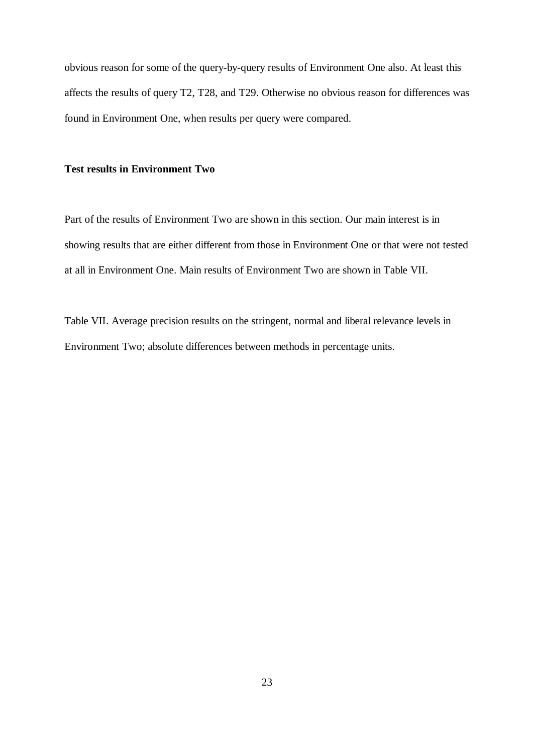obvious reason for some of the query-by-query results of Environment One also. At least this affects the results of query T2, T28, and T29. Otherwise no obvious reason for differences was found in Environment One, when results per query were compared.

### **Test results in Environment Two**

Part of the results of Environment Two are shown in this section. Our main interest is in showing results that are either different from those in Environment One or that were not tested at all in Environment One. Main results of Environment Two are shown in Table VII.

Table VII. Average precision results on the stringent, normal and liberal relevance levels in Environment Two; absolute differences between methods in percentage units.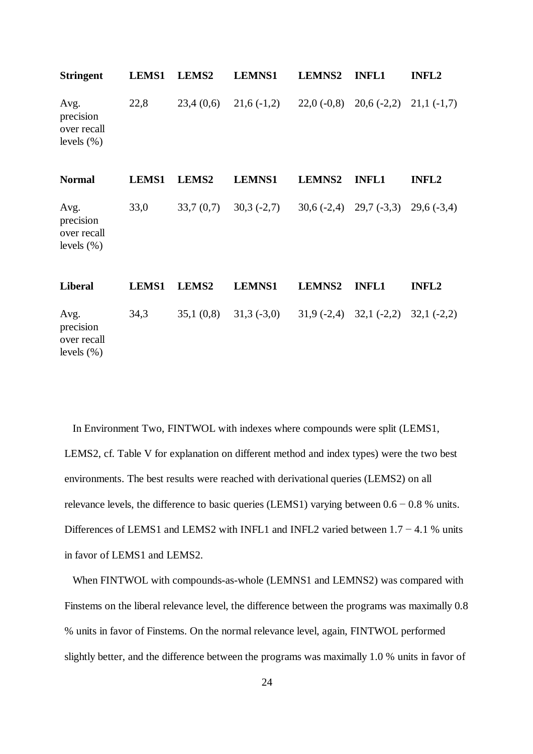| <b>Stringent</b>                                   | LEMS1        | LEMS2             | <b>LEMNS1</b> | <b>LEMNS2</b> | <b>INFL1</b>                           | <b>INFL2</b> |
|----------------------------------------------------|--------------|-------------------|---------------|---------------|----------------------------------------|--------------|
| Avg.<br>precision<br>over recall<br>levels $(\% )$ | 22,8         | 23,4(0,6)         | $21,6(-1,2)$  |               | $22,0(-0,8)$ $20,6(-2,2)$ $21,1(-1,7)$ |              |
| <b>Normal</b>                                      | <b>LEMS1</b> | LEMS <sub>2</sub> | <b>LEMNS1</b> | <b>LEMNS2</b> | <b>INFL1</b>                           | <b>INFL2</b> |
| Avg.<br>precision<br>over recall<br>levels $(\% )$ | 33,0         | 33,7(0,7)         | $30,3(-2,7)$  |               | $30,6(-2,4)$ $29,7(-3,3)$ $29,6(-3,4)$ |              |
| <b>Liberal</b>                                     | <b>LEMS1</b> | LEMS2             | <b>LEMNS1</b> | <b>LEMNS2</b> | <b>INFL1</b>                           | <b>INFL2</b> |
| Avg.<br>precision<br>over recall<br>levels $(\% )$ | 34,3         | 35,1(0,8)         | $31,3(-3,0)$  |               | $31,9(-2,4)$ $32,1(-2,2)$ $32,1(-2,2)$ |              |

In Environment Two, FINTWOL with indexes where compounds were split (LEMS1, LEMS2, cf. Table V for explanation on different method and index types) were the two best environments. The best results were reached with derivational queries (LEMS2) on all relevance levels, the difference to basic queries (LEMS1) varying between  $0.6 - 0.8$  % units. Differences of LEMS1 and LEMS2 with INFL1 and INFL2 varied between  $1.7 - 4.1$  % units in favor of LEMS1 and LEMS2.

When FINTWOL with compounds-as-whole (LEMNS1 and LEMNS2) was compared with Finstems on the liberal relevance level, the difference between the programs was maximally 0.8 % units in favor of Finstems. On the normal relevance level, again, FINTWOL performed slightly better, and the difference between the programs was maximally 1.0 % units in favor of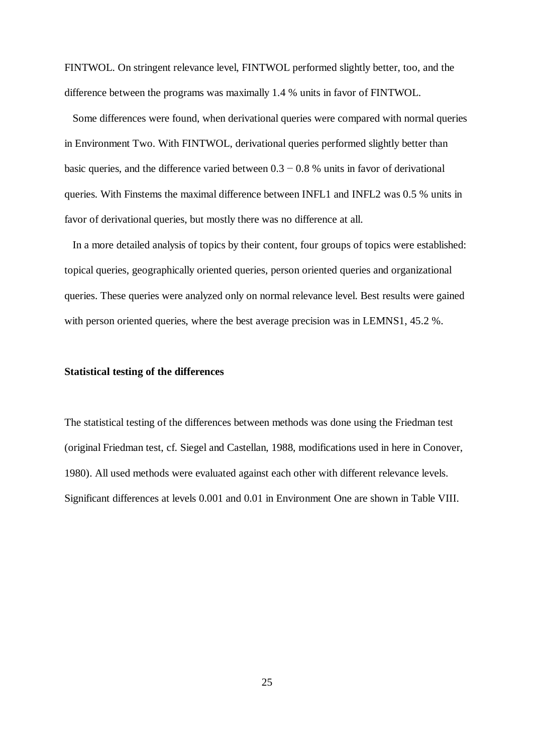FINTWOL. On stringent relevance level, FINTWOL performed slightly better, too, and the difference between the programs was maximally 1.4 % units in favor of FINTWOL.

Some differences were found, when derivational queries were compared with normal queries in Environment Two. With FINTWOL, derivational queries performed slightly better than basic queries, and the difference varied between  $0.3 - 0.8$  % units in favor of derivational queries. With Finstems the maximal difference between INFL1 and INFL2 was 0.5 % units in favor of derivational queries, but mostly there was no difference at all.

In a more detailed analysis of topics by their content, four groups of topics were established: topical queries, geographically oriented queries, person oriented queries and organizational queries. These queries were analyzed only on normal relevance level. Best results were gained with person oriented queries, where the best average precision was in LEMNS1, 45.2 %.

#### **Statistical testing of the differences**

The statistical testing of the differences between methods was done using the Friedman test (original Friedman test, cf. Siegel and Castellan, 1988, modifications used in here in Conover, 1980). All used methods were evaluated against each other with different relevance levels. Significant differences at levels 0.001 and 0.01 in Environment One are shown in Table VIII.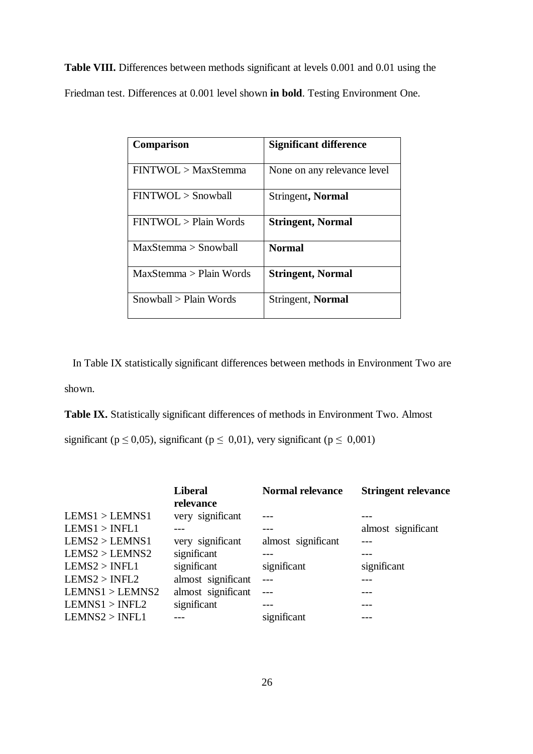**Table VIII.** Differences between methods significant at levels 0.001 and 0.01 using the Friedman test. Differences at 0.001 level shown **in bold**. Testing Environment One.

| <b>Comparison</b>       | Significant difference      |
|-------------------------|-----------------------------|
| FINTWOL > MaxStemma     | None on any relevance level |
| FINTWOL > Snowball      | <b>Stringent, Normal</b>    |
| FINTWOL > Plain Words   | <b>Stringent, Normal</b>    |
| MaxStemma > Snowball    | <b>Normal</b>               |
| MaxStemma > Plain Words | <b>Stringent, Normal</b>    |
| Snowball > Plain Words  | Stringent, Normal           |

In Table IX statistically significant differences between methods in Environment Two are shown.

**Table IX.** Statistically significant differences of methods in Environment Two. Almost

significant ( $p \le 0.05$ ), significant ( $p \le 0.01$ ), very significant ( $p \le 0.001$ )

|                 | <b>Liberal</b><br>relevance | <b>Normal relevance</b> | <b>Stringent relevance</b> |
|-----------------|-----------------------------|-------------------------|----------------------------|
| LEMS1 > LEMNS1  | very significant            |                         |                            |
| LEMS1 > INFL1   |                             |                         | almost significant         |
| LEMS2 > LEMNS1  | very significant            | almost significant      |                            |
| LEMS2 > LEMNS2  | significant                 |                         |                            |
| LEMS2 > INFL1   | significant                 | significant             | significant                |
| LEMS2 > INFL2   | almost significant          |                         |                            |
| LEMNS1 > LEMNS2 | almost significant          |                         |                            |
| LEMNS1 > INFL2  | significant                 |                         |                            |
| LEMNS2 > INFL1  |                             | significant             |                            |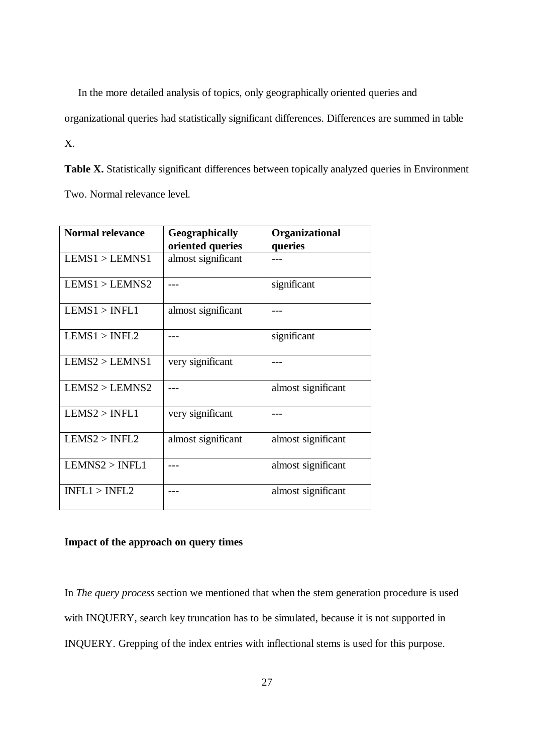In the more detailed analysis of topics, only geographically oriented queries and

organizational queries had statistically significant differences. Differences are summed in table

X.

Table X. Statistically significant differences between topically analyzed queries in Environment Two. Normal relevance level.

| <b>Normal relevance</b> | Geographically     | Organizational     |  |
|-------------------------|--------------------|--------------------|--|
|                         | oriented queries   | queries            |  |
| LEMS1 > LEMNS1          | almost significant |                    |  |
| LEMS1 > LEMNS2          |                    | significant        |  |
| LEMS1 > INFL1           | almost significant |                    |  |
| LEMS1 > INFL2           |                    | significant        |  |
| LEMS2 > LEMNS1          | very significant   |                    |  |
| LEMS2 > LEMNS2          |                    | almost significant |  |
| LEMS2 > INFL1           | very significant   |                    |  |
| LEMS2 > INFL2           | almost significant | almost significant |  |
| LEMNS2 > INFL1          |                    | almost significant |  |
| INFL1 > INFL2           |                    | almost significant |  |

### **Impact of the approach on query times**

In *The query process* section we mentioned that when the stem generation procedure is used with INQUERY, search key truncation has to be simulated, because it is not supported in INQUERY. Grepping of the index entries with inflectional stems is used for this purpose.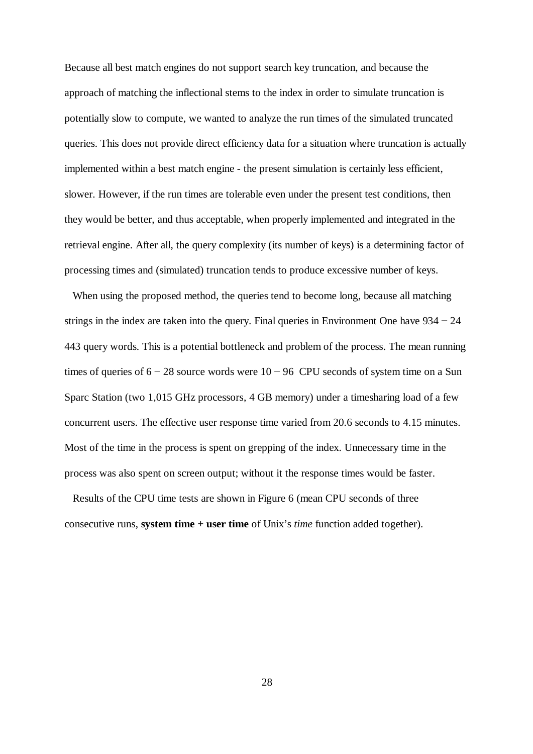Because all best match engines do not support search key truncation, and because the approach of matching the inflectional stems to the index in order to simulate truncation is potentially slow to compute, we wanted to analyze the run times of the simulated truncated queries. This does not provide direct efficiency data for a situation where truncation is actually implemented within a best match engine - the present simulation is certainly less efficient, slower. However, if the run times are tolerable even under the present test conditions, then they would be better, and thus acceptable, when properly implemented and integrated in the retrieval engine. After all, the query complexity (its number of keys) is a determining factor of processing times and (simulated) truncation tends to produce excessive number of keys.

When using the proposed method, the queries tend to become long, because all matching strings in the index are taken into the query. Final queries in Environment One have  $934 - 24$ 443 query words. This is a potential bottleneck and problem of the process. The mean running times of queries of  $6 - 28$  source words were  $10 - 96$  CPU seconds of system time on a Sun Sparc Station (two 1,015 GHz processors, 4 GB memory) under a timesharing load of a few concurrent users. The effective user response time varied from 20.6 seconds to 4.15 minutes. Most of the time in the process is spent on grepping of the index. Unnecessary time in the process was also spent on screen output; without it the response times would be faster.

Results of the CPU time tests are shown in Figure 6 (mean CPU seconds of three consecutive runs, **system time + user time** of Unix's *time* function added together).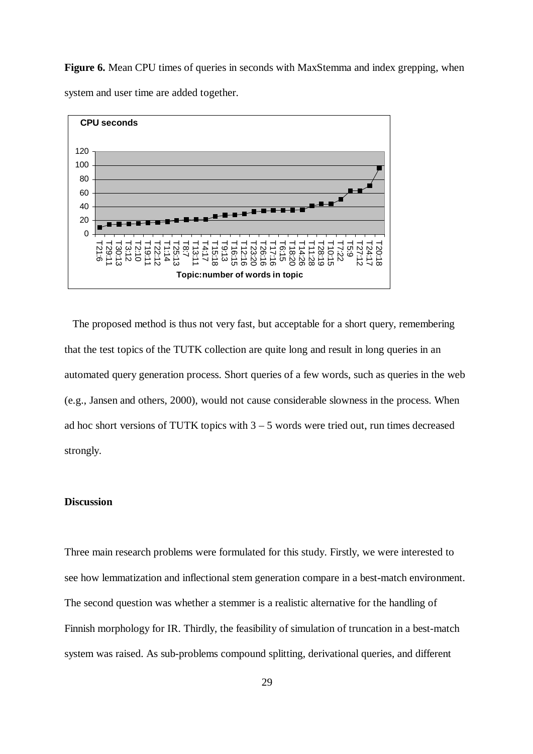**Figure 6.** Mean CPU times of queries in seconds with MaxStemma and index grepping, when system and user time are added together.



The proposed method is thus not very fast, but acceptable for a short query, remembering that the test topics of the TUTK collection are quite long and result in long queries in an automated query generation process. Short queries of a few words, such as queries in the web (e.g., Jansen and others, 2000), would not cause considerable slowness in the process. When ad hoc short versions of TUTK topics with  $3 - 5$  words were tried out, run times decreased strongly.

### **Discussion**

Three main research problems were formulated for this study. Firstly, we were interested to see how lemmatization and inflectional stem generation compare in a best-match environment. The second question was whether a stemmer is a realistic alternative for the handling of Finnish morphology for IR. Thirdly, the feasibility of simulation of truncation in a best-match system was raised. As sub-problems compound splitting, derivational queries, and different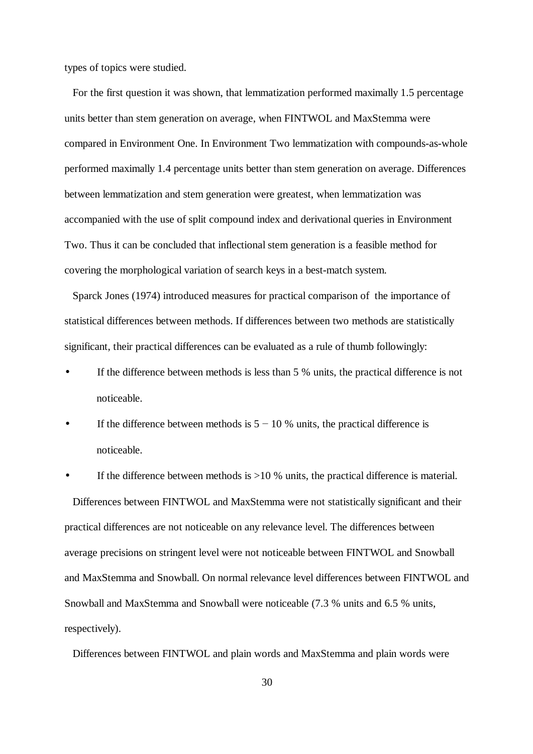types of topics were studied.

For the first question it was shown, that lemmatization performed maximally 1.5 percentage units better than stem generation on average, when FINTWOL and MaxStemma were compared in Environment One. In Environment Two lemmatization with compounds-as-whole performed maximally 1.4 percentage units better than stem generation on average. Differences between lemmatization and stem generation were greatest, when lemmatization was accompanied with the use of split compound index and derivational queries in Environment Two. Thus it can be concluded that inflectional stem generation is a feasible method for covering the morphological variation of search keys in a best-match system.

Sparck Jones (1974) introduced measures for practical comparison of the importance of statistical differences between methods. If differences between two methods are statistically significant, their practical differences can be evaluated as a rule of thumb followingly:

- If the difference between methods is less than 5 % units, the practical difference is not noticeable.
- If the difference between methods is  $5 10$  % units, the practical difference is noticeable.

If the difference between methods is  $>10$  % units, the practical difference is material. Differences between FINTWOL and MaxStemma were not statistically significant and their practical differences are not noticeable on any relevance level. The differences between average precisions on stringent level were not noticeable between FINTWOL and Snowball and MaxStemma and Snowball. On normal relevance level differences between FINTWOL and Snowball and MaxStemma and Snowball were noticeable (7.3 % units and 6.5 % units, respectively).

Differences between FINTWOL and plain words and MaxStemma and plain words were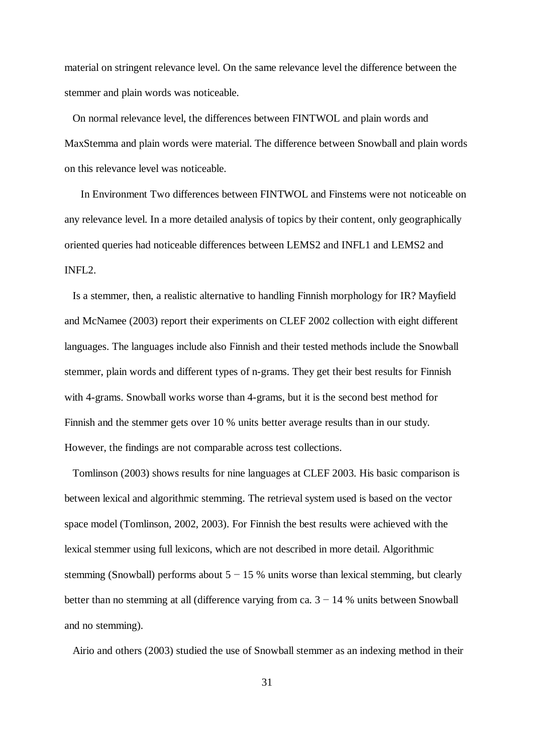material on stringent relevance level. On the same relevance level the difference between the stemmer and plain words was noticeable.

On normal relevance level, the differences between FINTWOL and plain words and MaxStemma and plain words were material. The difference between Snowball and plain words on this relevance level was noticeable.

 In Environment Two differences between FINTWOL and Finstems were not noticeable on any relevance level. In a more detailed analysis of topics by their content, only geographically oriented queries had noticeable differences between LEMS2 and INFL1 and LEMS2 and INFL2.

Is a stemmer, then, a realistic alternative to handling Finnish morphology for IR? Mayfield and McNamee (2003) report their experiments on CLEF 2002 collection with eight different languages. The languages include also Finnish and their tested methods include the Snowball stemmer, plain words and different types of n-grams. They get their best results for Finnish with 4-grams. Snowball works worse than 4-grams, but it is the second best method for Finnish and the stemmer gets over 10 % units better average results than in our study. However, the findings are not comparable across test collections.

Tomlinson (2003) shows results for nine languages at CLEF 2003. His basic comparison is between lexical and algorithmic stemming. The retrieval system used is based on the vector space model (Tomlinson, 2002, 2003). For Finnish the best results were achieved with the lexical stemmer using full lexicons, which are not described in more detail. Algorithmic stemming (Snowball) performs about  $5 - 15$  % units worse than lexical stemming, but clearly better than no stemming at all (difference varying from ca.  $3 - 14$  % units between Snowball and no stemming).

Airio and others (2003) studied the use of Snowball stemmer as an indexing method in their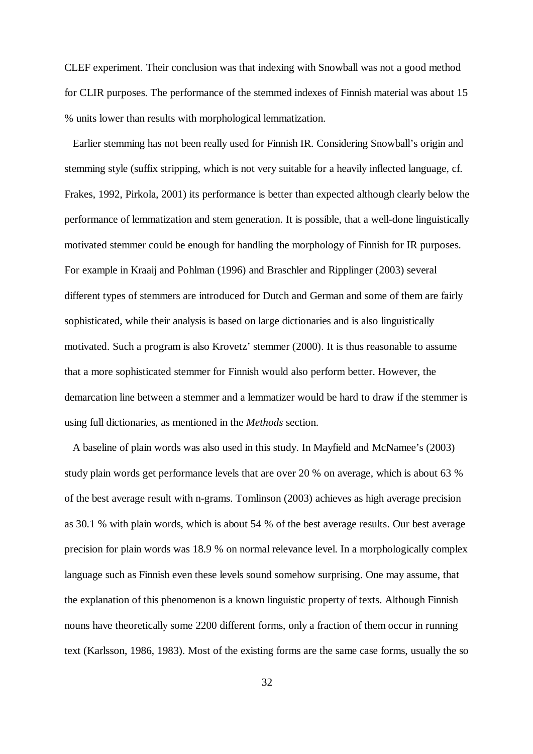CLEF experiment. Their conclusion was that indexing with Snowball was not a good method for CLIR purposes. The performance of the stemmed indexes of Finnish material was about 15 % units lower than results with morphological lemmatization.

Earlier stemming has not been really used for Finnish IR. Considering Snowball's origin and stemming style (suffix stripping, which is not very suitable for a heavily inflected language, cf. Frakes, 1992, Pirkola, 2001) its performance is better than expected although clearly below the performance of lemmatization and stem generation. It is possible, that a well-done linguistically motivated stemmer could be enough for handling the morphology of Finnish for IR purposes. For example in Kraaij and Pohlman (1996) and Braschler and Ripplinger (2003) several different types of stemmers are introduced for Dutch and German and some of them are fairly sophisticated, while their analysis is based on large dictionaries and is also linguistically motivated. Such a program is also Krovetz' stemmer (2000). It is thus reasonable to assume that a more sophisticated stemmer for Finnish would also perform better. However, the demarcation line between a stemmer and a lemmatizer would be hard to draw if the stemmer is using full dictionaries, as mentioned in the *Methods* section.

A baseline of plain words was also used in this study. In Mayfield and McNamee's (2003) study plain words get performance levels that are over 20 % on average, which is about 63 % of the best average result with n-grams. Tomlinson (2003) achieves as high average precision as 30.1 % with plain words, which is about 54 % of the best average results. Our best average precision for plain words was 18.9 % on normal relevance level. In a morphologically complex language such as Finnish even these levels sound somehow surprising. One may assume, that the explanation of this phenomenon is a known linguistic property of texts. Although Finnish nouns have theoretically some 2200 different forms, only a fraction of them occur in running text (Karlsson, 1986, 1983). Most of the existing forms are the same case forms, usually the so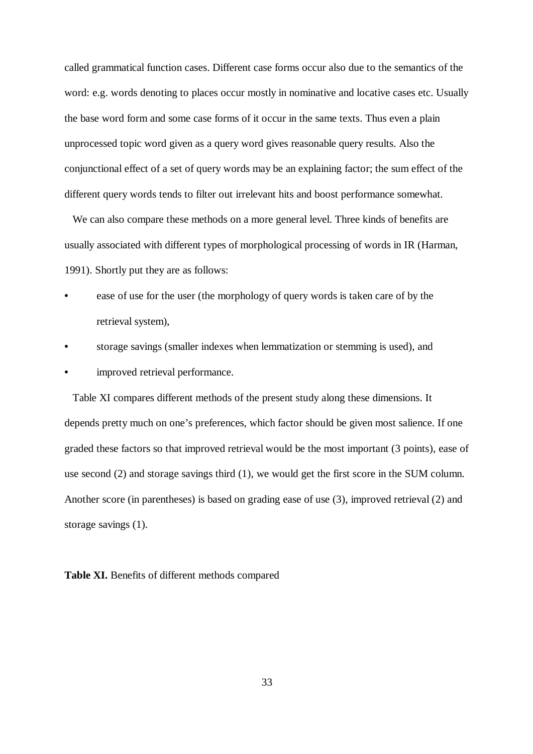called grammatical function cases. Different case forms occur also due to the semantics of the word: e.g. words denoting to places occur mostly in nominative and locative cases etc. Usually the base word form and some case forms of it occur in the same texts. Thus even a plain unprocessed topic word given as a query word gives reasonable query results. Also the conjunctional effect of a set of query words may be an explaining factor; the sum effect of the different query words tends to filter out irrelevant hits and boost performance somewhat.

We can also compare these methods on a more general level. Three kinds of benefits are usually associated with different types of morphological processing of words in IR (Harman, 1991). Shortly put they are as follows:

- ease of use for the user (the morphology of query words is taken care of by the retrieval system),
- storage savings (smaller indexes when lemmatization or stemming is used), and
- improved retrieval performance.

Table XI compares different methods of the present study along these dimensions. It depends pretty much on one's preferences, which factor should be given most salience. If one graded these factors so that improved retrieval would be the most important (3 points), ease of use second (2) and storage savings third (1), we would get the first score in the SUM column. Another score (in parentheses) is based on grading ease of use (3), improved retrieval (2) and storage savings (1).

**Table XI.** Benefits of different methods compared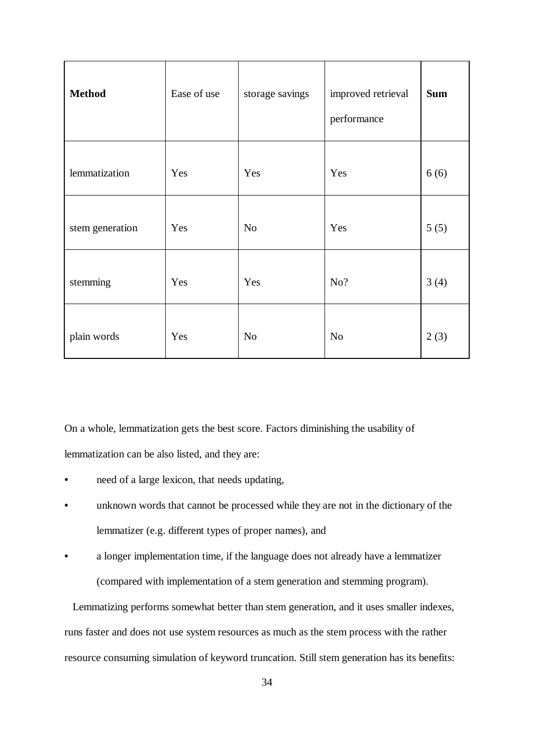| <b>Method</b>   | Ease of use | storage savings | improved retrieval<br>performance | <b>Sum</b> |
|-----------------|-------------|-----------------|-----------------------------------|------------|
| lemmatization   | Yes         | Yes             | Yes                               | 6(6)       |
| stem generation | Yes         | N <sub>o</sub>  | Yes                               | 5(5)       |
| stemming        | Yes         | Yes             | No?                               | 3(4)       |
| plain words     | Yes         | N <sub>o</sub>  | N <sub>o</sub>                    | 2(3)       |

On a whole, lemmatization gets the best score. Factors diminishing the usability of lemmatization can be also listed, and they are:

- need of a large lexicon, that needs updating,
- unknown words that cannot be processed while they are not in the dictionary of the lemmatizer (e.g. different types of proper names), and
- a longer implementation time, if the language does not already have a lemmatizer (compared with implementation of a stem generation and stemming program).

Lemmatizing performs somewhat better than stem generation, and it uses smaller indexes, runs faster and does not use system resources as much as the stem process with the rather resource consuming simulation of keyword truncation. Still stem generation has its benefits: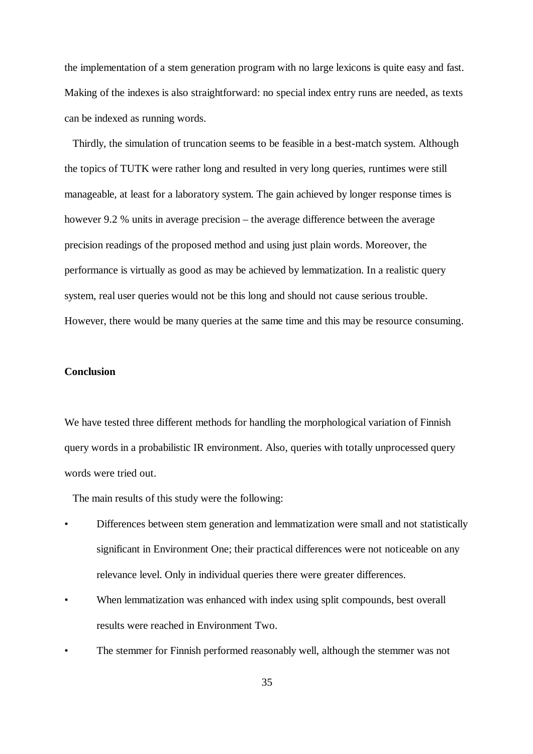the implementation of a stem generation program with no large lexicons is quite easy and fast. Making of the indexes is also straightforward: no special index entry runs are needed, as texts can be indexed as running words.

Thirdly, the simulation of truncation seems to be feasible in a best-match system. Although the topics of TUTK were rather long and resulted in very long queries, runtimes were still manageable, at least for a laboratory system. The gain achieved by longer response times is however 9.2 % units in average precision – the average difference between the average precision readings of the proposed method and using just plain words. Moreover, the performance is virtually as good as may be achieved by lemmatization. In a realistic query system, real user queries would not be this long and should not cause serious trouble. However, there would be many queries at the same time and this may be resource consuming.

### **Conclusion**

We have tested three different methods for handling the morphological variation of Finnish query words in a probabilistic IR environment. Also, queries with totally unprocessed query words were tried out.

The main results of this study were the following:

- Differences between stem generation and lemmatization were small and not statistically significant in Environment One; their practical differences were not noticeable on any relevance level. Only in individual queries there were greater differences.
- When lemmatization was enhanced with index using split compounds, best overall results were reached in Environment Two.
- The stemmer for Finnish performed reasonably well, although the stemmer was not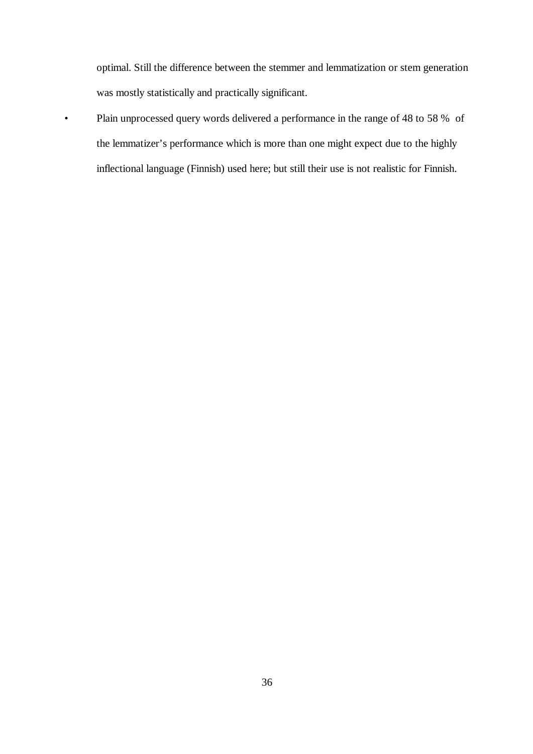optimal. Still the difference between the stemmer and lemmatization or stem generation was mostly statistically and practically significant.

• Plain unprocessed query words delivered a performance in the range of 48 to 58 % of the lemmatizer's performance which is more than one might expect due to the highly inflectional language (Finnish) used here; but still their use is not realistic for Finnish.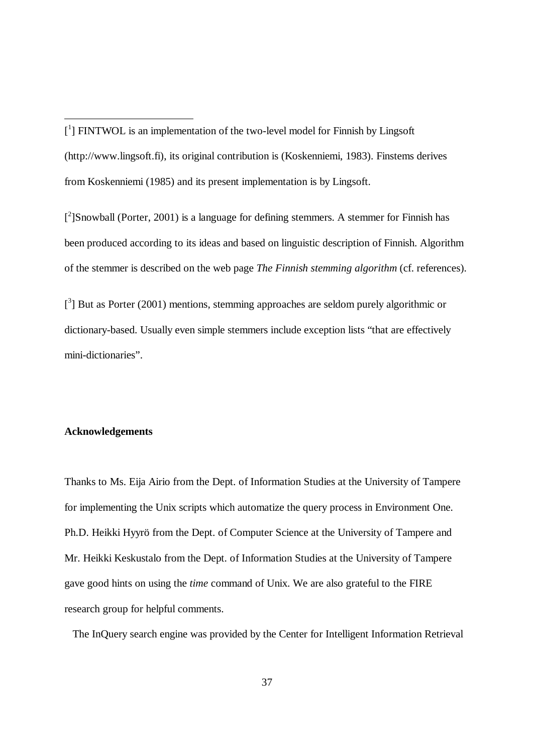[<sup>2</sup>]Snowball (Porter, 2001) is a language for defining stemmers. A stemmer for Finnish has been produced according to its ideas and based on linguistic description of Finnish. Algorithm of the stemmer is described on the web page *The Finnish stemming algorithm* (cf. references).

 $[^3]$  But as Porter (2001) mentions, stemming approaches are seldom purely algorithmic or dictionary-based. Usually even simple stemmers include exception lists "that are effectively mini-dictionaries".

### **Acknowledgements**

Thanks to Ms. Eija Airio from the Dept. of Information Studies at the University of Tampere for implementing the Unix scripts which automatize the query process in Environment One. Ph.D. Heikki Hyyrö from the Dept. of Computer Science at the University of Tampere and Mr. Heikki Keskustalo from the Dept. of Information Studies at the University of Tampere gave good hints on using the *time* command of Unix. We are also grateful to the FIRE research group for helpful comments.

The InQuery search engine was provided by the Center for Intelligent Information Retrieval

<sup>[&</sup>lt;sup>1</sup>] FINTWOL is an implementation of the two-level model for Finnish by Lingsoft ([http://www.lingsoft.fi\),](http://www.lingsoft.fi),) its original contribution is (Koskenniemi, 1983). Finstems derives from Koskenniemi (1985) and its present implementation is by Lingsoft.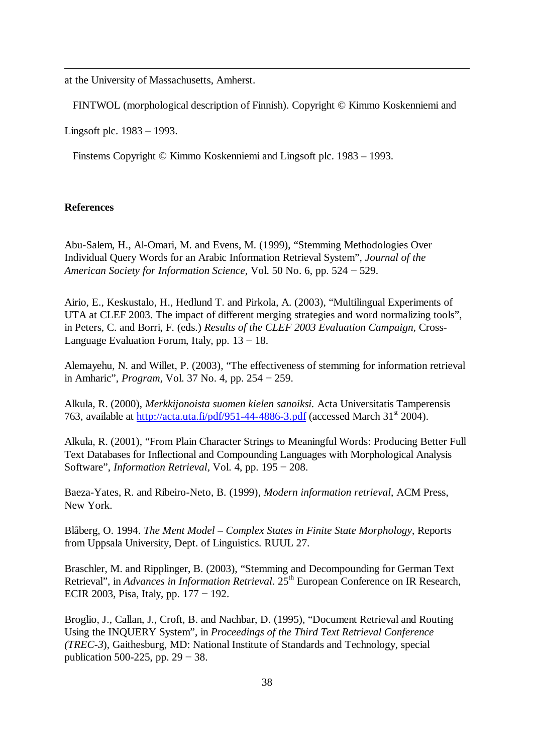at the University of Massachusetts, Amherst.

FINTWOL (morphological description of Finnish). Copyright © Kimmo Koskenniemi and

Lingsoft plc. 1983 – 1993.

Finstems Copyright © Kimmo Koskenniemi and Lingsoft plc. 1983 – 1993.

### **References**

Abu-Salem, H., Al-Omari, M. and Evens, M. (1999), "Stemming Methodologies Over Individual Query Words for an Arabic Information Retrieval System", *Journal of the American Society for Information Science, Vol. 50 No. 6, pp. 524 – 529.* 

Airio, E., Keskustalo, H., Hedlund T. and Pirkola, A. (2003), "Multilingual Experiments of UTA at CLEF 2003. The impact of different merging strategies and word normalizing tools", in Peters, C. and Borri, F. (eds.) *Results of the CLEF 2003 Evaluation Campaign*, Cross-Language Evaluation Forum, Italy, pp.  $13 - 18$ .

Alemayehu, N. and Willet, P. (2003), "The effectiveness of stemming for information retrieval in Amharic", *Program*, Vol. 37 No. 4, pp.  $254 - 259$ .

Alkula, R. (2000), *Merkkijonoista suomen kielen sanoiksi.* Acta Universitatis Tamperensis 763, available at <http://acta.uta.fi/pdf/951-44-4886-3.pdf> (accessed March  $31<sup>st</sup> 2004$ ).

Alkula, R. (2001), "From Plain Character Strings to Meaningful Words: Producing Better Full Text Databases for Inflectional and Compounding Languages with Morphological Analysis Software", *Information Retrieval*, Vol. 4, pp.  $195 - 208$ .

Baeza-Yates, R. and Ribeiro-Neto, B. (1999), *Modern information retrieval*, ACM Press, New York.

Blåberg, O. 1994. *The Ment Model – Complex States in Finite State Morphology*, Reports from Uppsala University, Dept. of Linguistics. RUUL 27.

Braschler, M. and Ripplinger, B. (2003), "Stemming and Decompounding for German Text Retrieval", in *Advances in Information Retrieval*. 25<sup>th</sup> European Conference on IR Research. ECIR 2003, Pisa, Italy, pp.  $177 - 192$ .

Broglio, J., Callan, J., Croft, B. and Nachbar, D. (1995), "Document Retrieval and Routing Using the INQUERY System", in *Proceedings of the Third Text Retrieval Conference (TREC-3*), Gaithesburg, MD: National Institute of Standards and Technology, special publication 500-225, pp.  $29 - 38$ .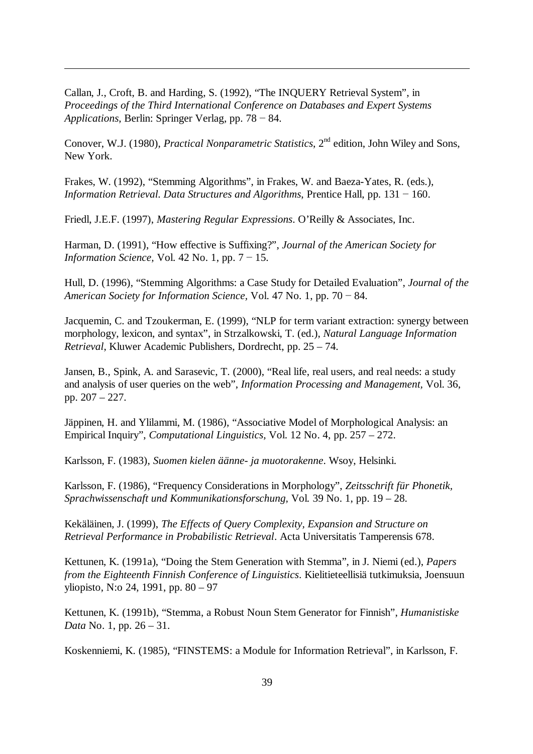Callan, J., Croft, B. and Harding, S. (1992), "The INQUERY Retrieval System", in *Proceedings of the Third International Conference on Databases and Expert Systems Applications*, Berlin: Springer Verlag, pp.  $78 - 84$ .

Conover, W.J. (1980), *Practical Nonparametric Statistics*, 2<sup>nd</sup> edition, John Wiley and Sons, New York.

Frakes, W. (1992), "Stemming Algorithms", in Frakes, W. and Baeza-Yates, R. (eds.), *Information Retrieval. Data Structures and Algorithms*, Prentice Hall, pp.  $131 - 160$ .

Friedl, J.E.F. (1997), *Mastering Regular Expressions*. O'Reilly & Associates, Inc.

Harman, D. (1991), "How effective is Suffixing?", *Journal of the American Society for Information Science,* Vol. 42 No. 1, pp.  $7 - 15$ .

Hull, D. (1996), "Stemming Algorithms: a Case Study for Detailed Evaluation", *Journal of the American Society for Information Science, Vol. 47 No. 1, pp. 70 – 84.* 

Jacquemin, C. and Tzoukerman, E. (1999), "NLP for term variant extraction: synergy between morphology, lexicon, and syntax", in Strzalkowski, T. (ed.), *Natural Language Information Retrieval*, Kluwer Academic Publishers, Dordrecht, pp. 25 – 74.

Jansen, B., Spink, A. and Sarasevic, T. (2000), "Real life, real users, and real needs: a study and analysis of user queries on the web", *Information Processing and Management,* Vol. 36, pp. 207 – 227.

Jäppinen, H. and Ylilammi, M. (1986), "Associative Model of Morphological Analysis: an Empirical Inquiry", *Computational Linguistics,* Vol. 12 No. 4, pp. 257 – 272.

Karlsson, F. (1983), *Suomen kielen äänne- ja muotorakenne*. Wsoy, Helsinki.

Karlsson, F. (1986), "Frequency Considerations in Morphology", *Zeitsschrift für Phonetik, Sprachwissenschaft und Kommunikationsforschung,* Vol*.* 39 No. 1, pp. 19 – 28.

Kekäläinen, J. (1999), *The Effects of Query Complexity, Expansion and Structure on Retrieval Performance in Probabilistic Retrieval*. Acta Universitatis Tamperensis 678.

Kettunen, K. (1991a), "Doing the Stem Generation with Stemma", in J. Niemi (ed.), *Papers from the Eighteenth Finnish Conference of Linguistics*. Kielitieteellisiä tutkimuksia, Joensuun yliopisto, N:o 24, 1991, pp. 80 – 97

Kettunen, K. (1991b), "Stemma, a Robust Noun Stem Generator for Finnish", *Humanistiske Data* No. 1, pp. 26 – 31.

Koskenniemi, K. (1985), "FINSTEMS: a Module for Information Retrieval", in Karlsson, F.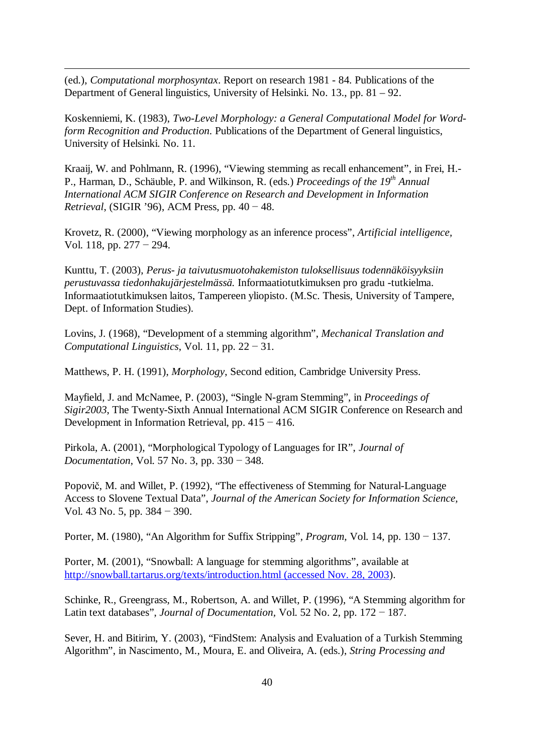(ed.), *Computational morphosyntax*. Report on research 1981 - 84. Publications of the Department of General linguistics, University of Helsinki. No. 13., pp. 81 – 92.

Koskenniemi, K. (1983), *Two-Level Morphology: a General Computational Model for Wordform Recognition and Production*. Publications of the Department of General linguistics, University of Helsinki. No. 11.

Kraaij, W. and Pohlmann, R. (1996), "Viewing stemming as recall enhancement", in Frei, H.- P., Harman, D., Schäuble, P. and Wilkinson, R. (eds.) *Proceedings of the 19th Annual International ACM SIGIR Conference on Research and Development in Information Retrieval*, (SIGIR '96), ACM Press, pp.  $40 - 48$ .

Krovetz, R. (2000), "Viewing morphology as an inference process", *Artificial intelligence,* Vol. 118, pp.  $277 - 294$ .

Kunttu, T. (2003), *Perus- ja taivutusmuotohakemiston tuloksellisuus todennäköisyyksiin perustuvassa tiedonhakujärjestelmässä.* Informaatiotutkimuksen pro gradu -tutkielma. Informaatiotutkimuksen laitos, Tampereen yliopisto. (M.Sc. Thesis, University of Tampere, Dept. of Information Studies).

Lovins, J. (1968), "Development of a stemming algorithm", *Mechanical Translation and Computational Linguistics*, Vol. 11, pp.  $22 - 31$ .

Matthews, P. H. (1991), *Morphology*, Second edition, Cambridge University Press.

Mayfield, J. and McNamee, P. (2003), "Single N-gram Stemming", in *Proceedings of Sigir2003*, The Twenty-Sixth Annual International ACM SIGIR Conference on Research and Development in Information Retrieval, pp.  $415 - 416$ .

Pirkola, A. (2001), "Morphological Typology of Languages for IR", *Journal of Documentation*, Vol. 57 No. 3, pp.  $330 - 348$ .

Popovič, M. and Willet, P. (1992), "The effectiveness of Stemming for Natural-Language Access to Slovene Textual Data", *Journal of the American Society for Information Science,* Vol. 43 No. 5, pp.  $384 - 390$ .

Porter, M. (1980), "An Algorithm for Suffix Stripping", *Program*, Vol. 14, pp.  $130 - 137$ .

Porter, M. (2001), "Snowball: A language for stemming algorithms", available at <http://snowball.tartarus.org/texts/introduction.html> (accessed Nov. 28, 2003).

Schinke, R., Greengrass, M., Robertson, A. and Willet, P. (1996), "A Stemming algorithm for Latin text databases", *Journal of Documentation*, Vol. 52 No. 2, pp.  $172 - 187$ .

Sever, H. and Bitirim, Y. (2003), "FindStem: Analysis and Evaluation of a Turkish Stemming Algorithm", in Nascimento, M., Moura, E. and Oliveira, A. (eds.), *String Processing and*